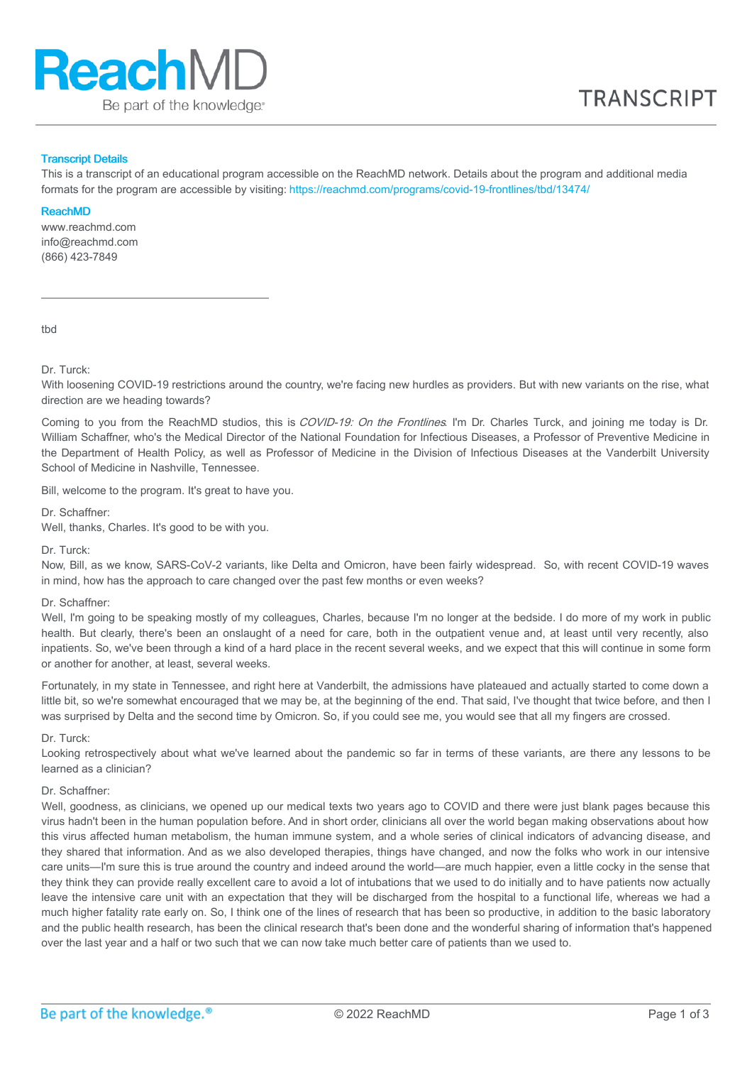

### Transcript Details

This is a transcript of an educational program accessible on the ReachMD network. Details about the program and additional media formats for the program are accessible by visiting: <https://reachmd.com/programs/covid-19-frontlines/tbd/13474/>

#### ReachMD

www.reachmd.com info@reachmd.com (866) 423-7849

tbd

Dr. Turck:

With loosening COVID-19 restrictions around the country, we're facing new hurdles as providers. But with new variants on the rise, what direction are we heading towards?

Coming to you from the ReachMD studios, this is COVID-19: On the Frontlines. I'm Dr. Charles Turck, and joining me today is Dr. William Schaffner, who's the Medical Director of the National Foundation for Infectious Diseases, a Professor of Preventive Medicine in the Department of Health Policy, as well as Professor of Medicine in the Division of Infectious Diseases at the Vanderbilt University School of Medicine in Nashville, Tennessee.

Bill, welcome to the program. It's great to have you.

Dr. Schaffner:

Well, thanks, Charles. It's good to be with you.

Dr. Turck:

Now, Bill, as we know, SARS-CoV-2 variants, like Delta and Omicron, have been fairly widespread. So, with recent COVID-19 waves in mind, how has the approach to care changed over the past few months or even weeks?

#### Dr. Schaffner:

Well, I'm going to be speaking mostly of my colleagues, Charles, because I'm no longer at the bedside. I do more of my work in public health. But clearly, there's been an onslaught of a need for care, both in the outpatient venue and, at least until very recently, also inpatients. So, we've been through a kind of a hard place in the recent several weeks, and we expect that this will continue in some form or another for another, at least, several weeks.

Fortunately, in my state in Tennessee, and right here at Vanderbilt, the admissions have plateaued and actually started to come down a little bit, so we're somewhat encouraged that we may be, at the beginning of the end. That said, I've thought that twice before, and then I was surprised by Delta and the second time by Omicron. So, if you could see me, you would see that all my fingers are crossed.

#### Dr. Turck:

Looking retrospectively about what we've learned about the pandemic so far in terms of these variants, are there any lessons to be learned as a clinician?

#### Dr. Schaffner:

Well, goodness, as clinicians, we opened up our medical texts two years ago to COVID and there were just blank pages because this virus hadn't been in the human population before. And in short order, clinicians all over the world began making observations about how this virus affected human metabolism, the human immune system, and a whole series of clinical indicators of advancing disease, and they shared that information. And as we also developed therapies, things have changed, and now the folks who work in our intensive care units—I'm sure this is true around the country and indeed around the world—are much happier, even a little cocky in the sense that they think they can provide really excellent care to avoid a lot of intubations that we used to do initially and to have patients now actually leave the intensive care unit with an expectation that they will be discharged from the hospital to a functional life, whereas we had a much higher fatality rate early on. So, I think one of the lines of research that has been so productive, in addition to the basic laboratory and the public health research, has been the clinical research that's been done and the wonderful sharing of information that's happened over the last year and a half or two such that we can now take much better care of patients than we used to.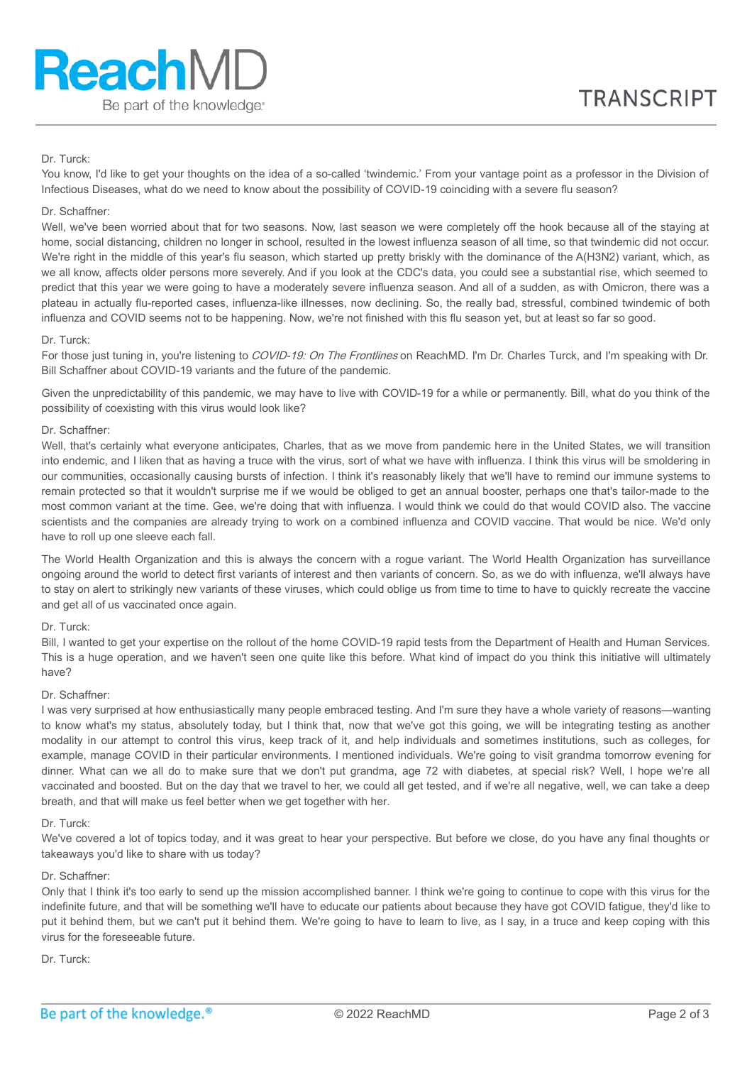# Dr. Turck:

You know, I'd like to get your thoughts on the idea of a so-called 'twindemic.' From your vantage point as a professor in the Division of Infectious Diseases, what do we need to know about the possibility of COVID-19 coinciding with a severe flu season?

### Dr. Schaffner:

Well, we've been worried about that for two seasons. Now, last season we were completely off the hook because all of the staying at home, social distancing, children no longer in school, resulted in the lowest influenza season of all time, so that twindemic did not occur. We're right in the middle of this year's flu season, which started up pretty briskly with the dominance of the A(H3N2) variant, which, as we all know, affects older persons more severely. And if you look at the CDC's data, you could see a substantial rise, which seemed to predict that this year we were going to have a moderately severe influenza season. And all of a sudden, as with Omicron, there was a plateau in actually flu-reported cases, influenza-like illnesses, now declining. So, the really bad, stressful, combined twindemic of both influenza and COVID seems not to be happening. Now, we're not finished with this flu season yet, but at least so far so good.

### Dr. Turck:

For those just tuning in, you're listening to COVID-19: On The Frontlines on ReachMD. I'm Dr. Charles Turck, and I'm speaking with Dr. Bill Schaffner about COVID-19 variants and the future of the pandemic.

Given the unpredictability of this pandemic, we may have to live with COVID-19 for a while or permanently. Bill, what do you think of the possibility of coexisting with this virus would look like?

### Dr. Schaffner:

Well, that's certainly what everyone anticipates, Charles, that as we move from pandemic here in the United States, we will transition into endemic, and I liken that as having a truce with the virus, sort of what we have with influenza. I think this virus will be smoldering in our communities, occasionally causing bursts of infection. I think it's reasonably likely that we'll have to remind our immune systems to remain protected so that it wouldn't surprise me if we would be obliged to get an annual booster, perhaps one that's tailor-made to the most common variant at the time. Gee, we're doing that with influenza. I would think we could do that would COVID also. The vaccine scientists and the companies are already trying to work on a combined influenza and COVID vaccine. That would be nice. We'd only have to roll up one sleeve each fall.

The World Health Organization and this is always the concern with a rogue variant. The World Health Organization has surveillance ongoing around the world to detect first variants of interest and then variants of concern. So, as we do with influenza, we'll always have to stay on alert to strikingly new variants of these viruses, which could oblige us from time to time to have to quickly recreate the vaccine and get all of us vaccinated once again.

### Dr. Turck:

Bill, I wanted to get your expertise on the rollout of the home COVID-19 rapid tests from the Department of Health and Human Services. This is a huge operation, and we haven't seen one quite like this before. What kind of impact do you think this initiative will ultimately have?

### Dr. Schaffner:

I was very surprised at how enthusiastically many people embraced testing. And I'm sure they have a whole variety of reasons—wanting to know what's my status, absolutely today, but I think that, now that we've got this going, we will be integrating testing as another modality in our attempt to control this virus, keep track of it, and help individuals and sometimes institutions, such as colleges, for example, manage COVID in their particular environments. I mentioned individuals. We're going to visit grandma tomorrow evening for dinner. What can we all do to make sure that we don't put grandma, age 72 with diabetes, at special risk? Well, I hope we're all vaccinated and boosted. But on the day that we travel to her, we could all get tested, and if we're all negative, well, we can take a deep breath, and that will make us feel better when we get together with her.

### Dr. Turck:

We've covered a lot of topics today, and it was great to hear your perspective. But before we close, do you have any final thoughts or takeaways you'd like to share with us today?

## Dr. Schaffner:

Only that I think it's too early to send up the mission accomplished banner. I think we're going to continue to cope with this virus for the indefinite future, and that will be something we'll have to educate our patients about because they have got COVID fatigue, they'd like to put it behind them, but we can't put it behind them. We're going to have to learn to live, as I say, in a truce and keep coping with this virus for the foreseeable future.

Dr. Turck: